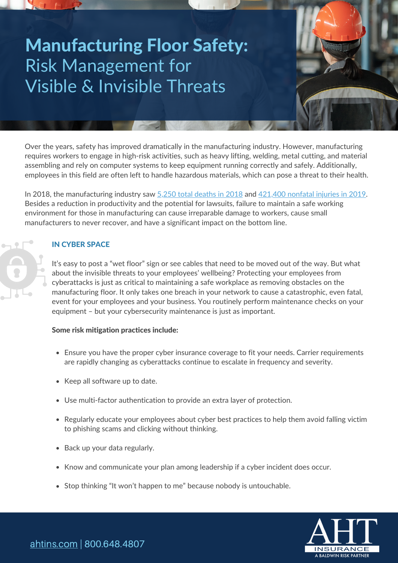# Manufacturing Floor Safety: Risk Management for Visible & Invisible Threats

Over the years, safety has improved dramatically in the manufacturing industry. However, manufacturing requires workers to engage in high-risk activities, such as heavy lifting, welding, metal cutting, and material assembling and rely on computer systems to keep equipment running correctly and safely. Additionally, employees in this field are often left to handle hazardous materials, which can pose a threat to their health.

In 2018, the manufacturing industry saw 5,250 total [deaths](https://industrytoday.com/newly-released-manufacturing-injury-data-alarming/) in 2018 and [421,400](https://www.thehartford.com/insights/manufacturing/investing-in-manufacturing-safety) nonfatal injuries in 2019. Besides a reduction in productivity and the potential for lawsuits, failure to maintain a safe working environment for those in manufacturing can cause irreparable damage to workers, cause small manufacturers to never recover, and have a significant impact on the bottom line.

## IN CYBER SPACE

It's easy to post a "wet floor" sign or see cables that need to be moved out of the way. But what about the invisible threats to your employees' wellbeing? Protecting your employees from cyberattacks is just as critical to maintaining a safe workplace as removing obstacles on the manufacturing floor. It only takes one breach in your network to cause a catastrophic, even fatal, event for your employees and your business. You routinely perform maintenance checks on your equipment – but your cybersecurity maintenance is just as important.

#### Some risk mitigation practices include:

- Ensure you have the proper cyber insurance coverage to fit your needs. Carrier requirements are rapidly changing as cyberattacks continue to escalate in frequency and severity.
- Keep all software up to date.
- Use multi-factor authentication to provide an extra layer of protection.
- Regularly educate your employees about cyber best practices to help them avoid falling victim to phishing scams and clicking without thinking.
- Back up your data regularly.
- Know and communicate your plan among leadership if a cyber incident does occur.
- Stop thinking "It won't happen to me" because nobody is untouchable.